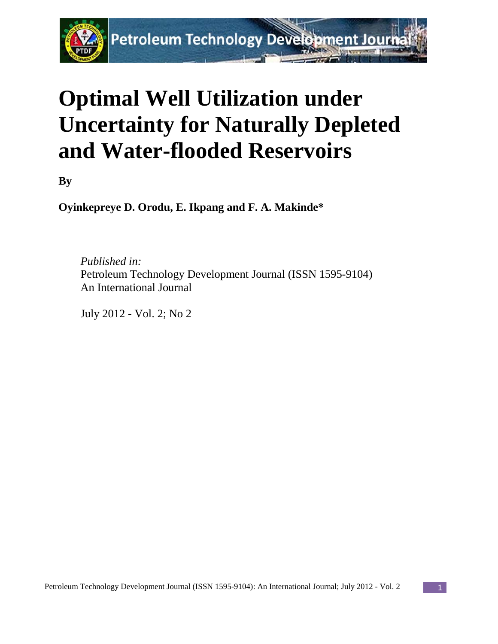

# **Optimal Well Utilization under Uncertainty for Naturally Depleted and Water-flooded Reservoirs**

**By**

**Oyinkepreye D. Orodu, E. Ikpang and F. A. Makinde\***

*Published in:* Petroleum Technology Development Journal (ISSN 1595-9104) An International Journal

July 2012 - Vol. 2; No 2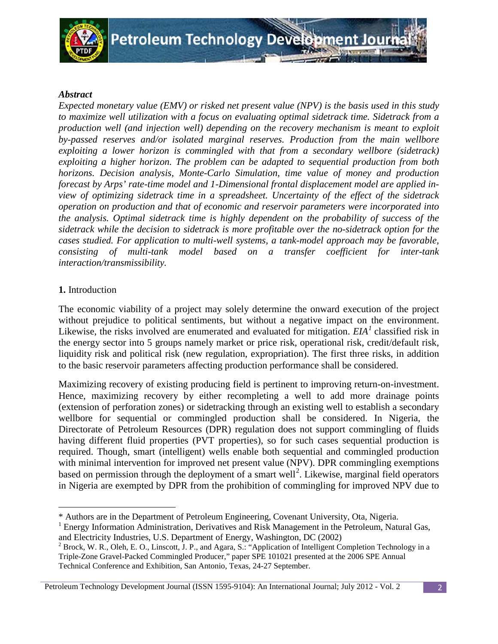

# *Abstract*

*Expected monetary value (EMV) or risked net present value (NPV) is the basis used in this study to maximize well utilization with a focus on evaluating optimal sidetrack time. Sidetrack from a production well (and injection well) depending on the recovery mechanism is meant to exploit by-passed reserves and/or isolated marginal reserves. Production from the main wellbore exploiting a lower horizon is commingled with that from a secondary wellbore (sidetrack) exploiting a higher horizon. The problem can be adapted to sequential production from both horizons. Decision analysis, Monte-Carlo Simulation, time value of money and production forecast by Arps' rate-time model and 1-Dimensional frontal displacement model are applied inview of optimizing sidetrack time in a spreadsheet. Uncertainty of the effect of the sidetrack operation on production and that of economic and reservoir parameters were incorporated into the analysis. Optimal sidetrack time is highly dependent on the probability of success of the sidetrack while the decision to sidetrack is more profitable over the no-sidetrack option for the cases studied. For application to multi-well systems, a tank-model approach may be favorable, consisting of multi-tank model based on a transfer coefficient for inter-tank interaction/transmissibility.*

# **1.** Introduction

ı

The economic viability of a project may solely determine the onward execution of the project without prejudice to political sentiments, but without a negative impact on the environment. Likewise, the risks involved are enumerated and evaluated for mitigation. *EIA[1](#page-1-0)* classified risk in the energy sector into 5 groups namely market or price risk, operational risk, credit/default risk, liquidity risk and political risk (new regulation, expropriation). The first three risks, in addition to the basic reservoir parameters affecting production performance shall be considered.

Maximizing recovery of existing producing field is pertinent to improving return-on-investment. Hence, maximizing recovery by either recompleting a well to add more drainage points (extension of perforation zones) or sidetracking through an existing well to establish a secondary wellbore for sequential or commingled production shall be considered. In Nigeria, the Directorate of Petroleum Resources (DPR) regulation does not support commingling of fluids having different fluid properties (PVT properties), so for such cases sequential production is required. Though, smart (intelligent) wells enable both sequential and commingled production with minimal intervention for improved net present value (NPV). DPR commingling exemptions based on permission through the deployment of a smart well<sup>[2](#page-1-1)</sup>. Likewise, marginal field operators in Nigeria are exempted by DPR from the prohibition of commingling for improved NPV due to

<sup>\*</sup> Authors are in the Department of Petroleum Engineering, Covenant University, Ota, Nigeria.

<span id="page-1-0"></span> $<sup>1</sup>$  Energy Information Administration, Derivatives and Risk Management in the Petroleum, Natural Gas,</sup> and Electricity Industries, U.S. Department of Energy, Washington, DC (2002)

<span id="page-1-1"></span><sup>&</sup>lt;sup>2</sup> Brock, W. R., Oleh, E. O., Linscott, J. P., and Agara, S.: "Application of Intelligent Completion Technology in a Triple-Zone Gravel-Packed Commingled Producer," paper SPE 101021 presented at the 2006 SPE Annual Technical Conference and Exhibition, San Antonio, Texas, 24-27 September.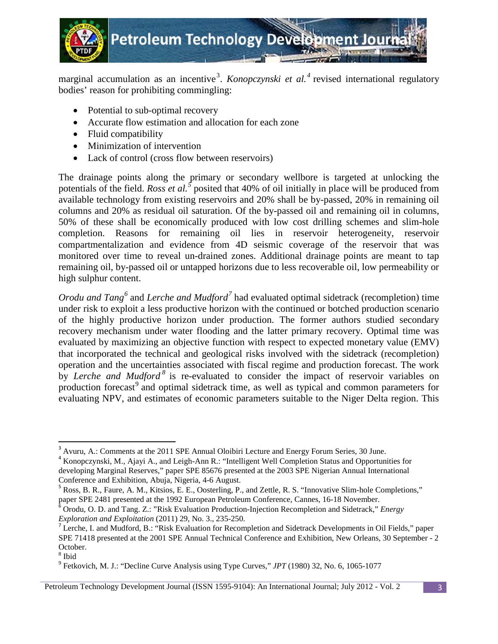

**Petroleum Technology Devel** 

marginal accumulation as an incentive<sup>[3](#page-2-0)</sup>. *Konopczynski et al.*<sup>[4](#page-2-1)</sup> revised international regulatory bodies' reason for prohibiting commingling:

- Potential to sub-optimal recovery
- Accurate flow estimation and allocation for each zone
- Fluid compatibility
- Minimization of intervention
- Lack of control (cross flow between reservoirs)

The drainage points along the primary or secondary wellbore is targeted at unlocking the potentials of the field. *Ross et al.*<sup>[5](#page-2-2)</sup> posited that 40% of oil initially in place will be produced from available technology from existing reservoirs and 20% shall be by-passed, 20% in remaining oil columns and 20% as residual oil saturation. Of the by-passed oil and remaining oil in columns, 50% of these shall be economically produced with low cost drilling schemes and slim-hole completion. Reasons for remaining oil lies in reservoir heterogeneity, reservoir compartmentalization and evidence from 4D seismic coverage of the reservoir that was monitored over time to reveal un-drained zones. Additional drainage points are meant to tap remaining oil, by-passed oil or untapped horizons due to less recoverable oil, low permeability or high sulphur content.

*Orodu and Tang*<sup>[6](#page-2-3)</sup> and *Lerche and Mudford*<sup>[7](#page-2-4)</sup> had evaluated optimal sidetrack (recompletion) time under risk to exploit a less productive horizon with the continued or botched production scenario of the highly productive horizon under production. The former authors studied secondary recovery mechanism under water flooding and the latter primary recovery. Optimal time was evaluated by maximizing an objective function with respect to expected monetary value (EMV) that incorporated the technical and geological risks involved with the sidetrack (recompletion) operation and the uncertainties associated with fiscal regime and production forecast. The work by *Lerche and Mudford*<sup>[8](#page-2-5)</sup> is re-evaluated to consider the impact of reservoir variables on production forecast<sup>[9](#page-2-6)</sup> and optimal sidetrack time, as well as typical and common parameters for evaluating NPV, and estimates of economic parameters suitable to the Niger Delta region. This

<span id="page-2-0"></span><sup>&</sup>lt;sup>3</sup> Avuru, A.: Comments at the 2011 SPE Annual Oloibiri Lecture and Energy Forum Series, 30 June.

<span id="page-2-1"></span><sup>4</sup> Konopczynski, M., Ajayi A., and Leigh-Ann R.: "Intelligent Well Completion Status and Opportunities for developing Marginal Reserves," paper SPE 85676 presented at the 2003 SPE Nigerian Annual International Conference and Exhibition, Abuja, Nigeria, 4-6 August.

<span id="page-2-2"></span><sup>&</sup>lt;sup>5</sup> Ross, B. R., Faure, A. M., Kitsios, E. E., Oosterling, P., and Zettle, R. S. "Innovative Slim-hole Completions,"

<span id="page-2-3"></span>paper SPE 2481 presented at the 1992 European Petroleum Conference, Cannes, 16-18 November.<br><sup>6</sup> Orodu, O. D. and Tang. Z.: "Risk Evaluation Production-Injection Recompletion and Sidetrack," *Energy Exploration and Exploita* 

<span id="page-2-4"></span><sup>&</sup>lt;sup>7</sup> Lerche, I. and Mudford, B.: "Risk Evaluation for Recompletion and Sidetrack Developments in Oil Fields," paper SPE 71418 presented at the 2001 SPE Annual Technical Conference and Exhibition, New Orleans, 30 September - 2 October.<br><sup>8</sup> Ibid

<span id="page-2-6"></span><span id="page-2-5"></span>

<sup>9</sup> Fetkovich, M. J.: "Decline Curve Analysis using Type Curves," *JPT* (1980) 32, No. 6, 1065-1077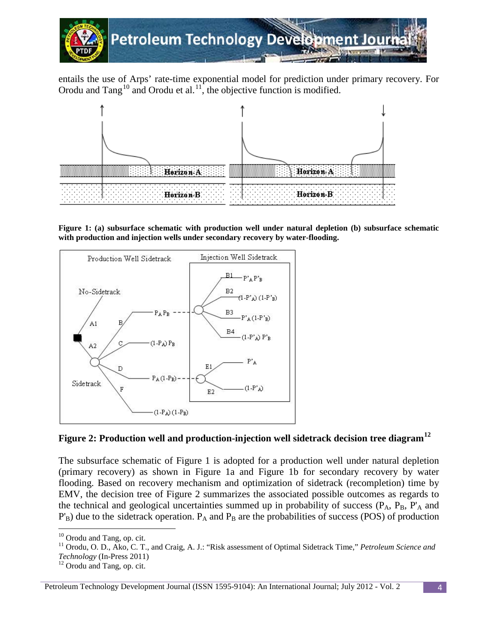

entails the use of Arps' rate-time exponential model for prediction under primary recovery. For Orodu and  $Tang<sup>10</sup>$  $Tang<sup>10</sup>$  $Tang<sup>10</sup>$  and Orodu et al.<sup>[11](#page-3-1)</sup>, the objective function is modified.



**Figure 1: (a) subsurface schematic with production well under natural depletion (b) subsurface schematic with production and injection wells under secondary recovery by water-flooding.**



# **Figure 2: Production well and production-injection well sidetrack decision tree diagram[12](#page-3-2)**

The subsurface schematic of Figure 1 is adopted for a production well under natural depletion (primary recovery) as shown in Figure 1a and Figure 1b for secondary recovery by water flooding. Based on recovery mechanism and optimization of sidetrack (recompletion) time by EMV, the decision tree of Figure 2 summarizes the associated possible outcomes as regards to the technical and geological uncertainties summed up in probability of success  $(P_A, P_B, P'_A$  and  $P'_B$ ) due to the sidetrack operation.  $P_A$  and  $P_B$  are the probabilities of success (POS) of production

 $10$  Orodu and Tang, op. cit.

<span id="page-3-1"></span><span id="page-3-0"></span><sup>&</sup>lt;sup>11</sup> Orodu, O. D., Ako, C. T., and Craig, A. J.: "Risk assessment of Optimal Sidetrack Time," *Petroleum Science and* 

*Technology* (In-Press 2011)<br><sup>12</sup> Orodu and Tang, op. cit.

<span id="page-3-2"></span>Petroleum Technology Development Journal (ISSN 1595-9104): An International Journal; July 2012 - Vol. 2 4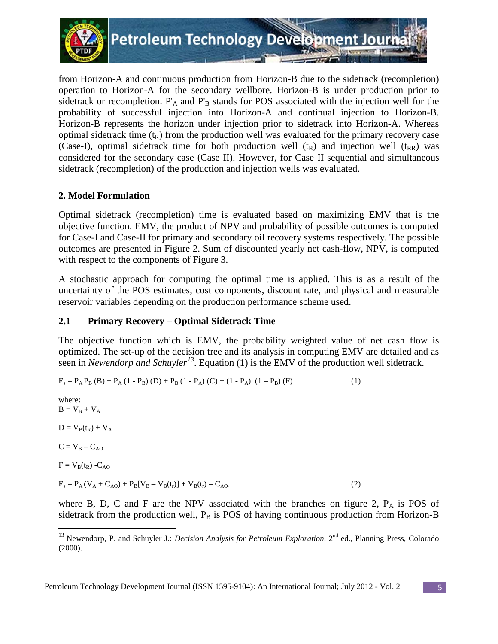

from Horizon-A and continuous production from Horizon-B due to the sidetrack (recompletion) operation to Horizon-A for the secondary wellbore. Horizon-B is under production prior to sidetrack or recompletion.  $P'_{A}$  and  $P'_{B}$  stands for POS associated with the injection well for the probability of successful injection into Horizon-A and continual injection to Horizon-B. Horizon-B represents the horizon under injection prior to sidetrack into Horizon-A. Whereas optimal sidetrack time  $(t_R)$  from the production well was evaluated for the primary recovery case (Case-I), optimal sidetrack time for both production well  $(t_R)$  and injection well  $(t_{RR})$  was considered for the secondary case (Case II). However, for Case II sequential and simultaneous sidetrack (recompletion) of the production and injection wells was evaluated.

# **2. Model Formulation**

Optimal sidetrack (recompletion) time is evaluated based on maximizing EMV that is the objective function. EMV, the product of NPV and probability of possible outcomes is computed for Case-I and Case-II for primary and secondary oil recovery systems respectively. The possible outcomes are presented in Figure 2. Sum of discounted yearly net cash-flow, NPV, is computed with respect to the components of Figure 3.

A stochastic approach for computing the optimal time is applied. This is as a result of the uncertainty of the POS estimates, cost components, discount rate, and physical and measurable reservoir variables depending on the production performance scheme used.

# **2.1 Primary Recovery – Optimal Sidetrack Time**

The objective function which is EMV, the probability weighted value of net cash flow is optimized. The set-up of the decision tree and its analysis in computing EMV are detailed and as seen in *Newendorp and Schuyler[13](#page-4-0)* . Equation (1) is the EMV of the production well sidetrack.

$$
E_s = P_A P_B (B) + P_A (1 - P_B) (D) + P_B (1 - P_A) (C) + (1 - P_A). (1 - P_B) (F)
$$
\n(1)

where:  $B = V_B + V_A$ 

 $\overline{\phantom{0}}$ 

 $D = V_B(t_R) + V_A$ 

 $C = V_B - C_{AO}$ 

 $F = V_B(t_R) - C_{AO}$ 

 $E_s = P_A (V_A + C_{AO}) + P_B [V_B - V_B(t_r)] + V_B(t_r) - C_{AO}.$  (2)

where B, D, C and F are the NPV associated with the branches on figure 2,  $P_A$  is POS of sidetrack from the production well,  $P_B$  is POS of having continuous production from Horizon-B

<span id="page-4-0"></span><sup>&</sup>lt;sup>13</sup> Newendorp, P. and Schuyler J.: *Decision Analysis for Petroleum Exploration*, 2<sup>nd</sup> ed., Planning Press, Colorado (2000).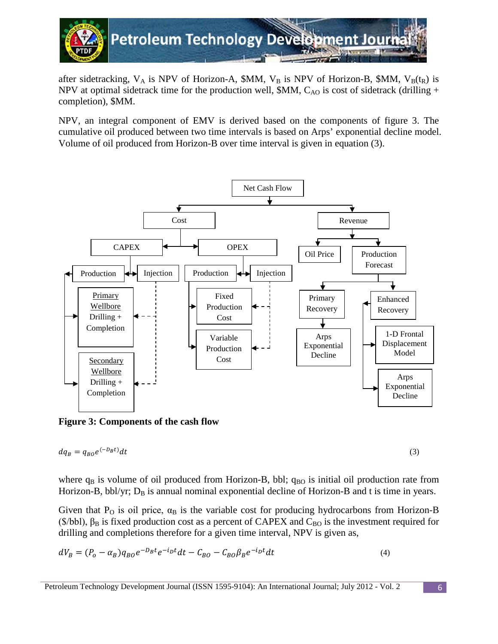

after sidetracking,  $V_A$  is NPV of Horizon-A, \$MM,  $V_B$  is NPV of Horizon-B, \$MM,  $V_B(t_R)$  is NPV at optimal sidetrack time for the production well,  $M_{\rm M}$ ,  $C_{\rm AO}$  is cost of sidetrack (drilling + completion), \$MM.

NPV, an integral component of EMV is derived based on the components of figure 3. The cumulative oil produced between two time intervals is based on Arps' exponential decline model. Volume of oil produced from Horizon-B over time interval is given in equation (3).



**Figure 3: Components of the cash flow** 

$$
dq_B = q_{BO}e^{(-D_B t)}dt
$$
\n(3)

where  $q_B$  is volume of oil produced from Horizon-B, bbl;  $q_{BO}$  is initial oil production rate from Horizon-B, bbl/yr;  $D_B$  is annual nominal exponential decline of Horizon-B and t is time in years.

Given that  $P_0$  is oil price,  $\alpha_B$  is the variable cost for producing hydrocarbons from Horizon-B ( $\$\text{bb{b}}$ bbl),  $\beta_B$  is fixed production cost as a percent of CAPEX and C<sub>BO</sub> is the investment required for drilling and completions therefore for a given time interval, NPV is given as,

$$
dV_B = (P_o - \alpha_B)q_{BO}e^{-D_Bt}e^{-i_Dt}dt - C_{BO} - C_{BO}\beta_Be^{-i_Dt}dt
$$
\n(4)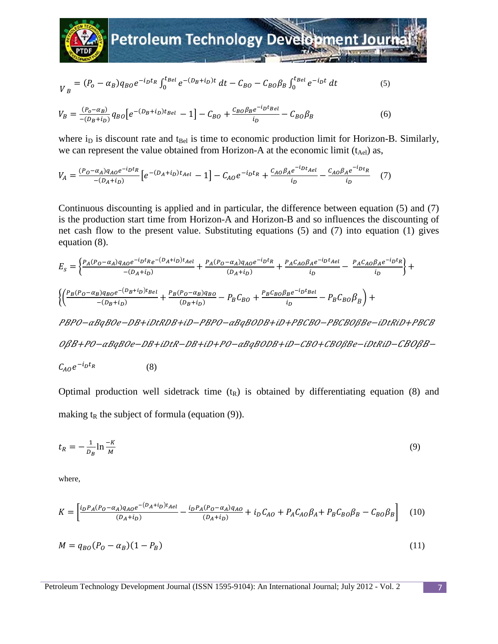

$$
V_B = (P_o - \alpha_B) q_{BO} e^{-i_D t_R} \int_0^{t_{Bel}} e^{-(D_B + i_D)t} dt - C_{BO} - C_{BO} \beta_B \int_0^{t_{Bel}} e^{-i_D t} dt
$$
 (5)

$$
V_B = \frac{(P_o - \alpha_B)}{-(D_B + i_D)} q_{BO} \left[ e^{-(D_B + i_D)t_{Bel}} - 1 \right] - C_{BO} + \frac{c_{BO} \beta_B e^{-i_D t_{Bel}}}{i_D} - C_{BO} \beta_B \tag{6}
$$

where  $i_D$  is discount rate and  $t_{Bel}$  is time to economic production limit for Horizon-B. Similarly, we can represent the value obtained from Horizon-A at the economic limit  $(t_{\text{Ael}})$  as,

$$
V_A = \frac{(P_0 - \alpha_A)q_{AO}e^{-i_D t_R}}{-(D_A + i_D)} \left[ e^{-(D_A + i_D)t_{Ael}} - 1 \right] - C_{AO}e^{-i_D t_R} + \frac{C_{AO} \beta_A e^{-i_D t_{Ael}}}{i_D} - \frac{C_{AO} \beta_A e^{-i_D t_R}}{i_D} \tag{7}
$$

Continuous discounting is applied and in particular, the difference between equation (5) and (7) is the production start time from Horizon-A and Horizon-B and so influences the discounting of net cash flow to the present value. Substituting equations (5) and (7) into equation (1) gives equation (8).

 = � (−)−−�+� <sup>−</sup>(+) <sup>+</sup> (−)− (+) <sup>+</sup> − <sup>−</sup> − � + �� (−)−�+� <sup>−</sup>(+) <sup>+</sup> (−) (+) <sup>−</sup> <sup>+</sup> − − � + −−++−−++−−+

OßB+PO-aBgBOe-DB+iDtR-DB+iD+PO-aBgBODB+iD-CBO+CBOßBe-iDtRiD-CBOßB-

$$
C_{AO}e^{-i_D t_R} \tag{8}
$$

Optimal production well sidetrack time  $(t_R)$  is obtained by differentiating equation (8) and making  $t_R$  the subject of formula (equation (9)).

$$
t_R = -\frac{1}{D_B} \ln \frac{-K}{M} \tag{9}
$$

where,

$$
K = \left[\frac{i_D P_A (P_O - \alpha_A) q_{AO} e^{-(D_A + i_D) t_{Ael}}}{(D_A + i_D)} - \frac{i_D P_A (P_O - \alpha_A) q_{AO}}{(D_A + i_D)} + i_D C_{AO} + P_A C_{AO} \beta_A + P_B C_{BO} \beta_B - C_{BO} \beta_B\right]
$$
(10)

$$
M = q_{BO}(P_O - \alpha_B)(1 - P_B)
$$
 (11)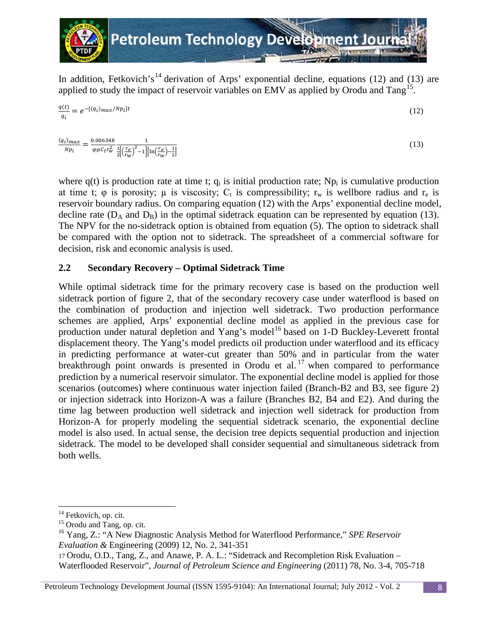

In addition, Fetkovich's<sup>[14](#page-7-0)</sup> derivation of Arps' exponential decline, equations (12) and (13) are applied to study the impact of reservoir variables on EMV as applied by Orodu and Tang<sup>[15](#page-7-1)</sup>.

$$
\frac{q(t)}{q_i} = e^{-[(q_i)max/Np_i]t}
$$
\n(12)

$$
\frac{(q_i)_{max}}{Np_i} = \frac{0.00634k}{\varphi \mu c_t r_w^2} \frac{1}{\frac{1}{2} \left[ \left( \frac{r_e}{r_w} \right)^2 - 1 \right] \left[ \ln \left( \frac{r_e}{r_w} \right) - \frac{1}{2} \right]}
$$
(13)

where  $q(t)$  is production rate at time t;  $q_i$  is initial production rate; Np<sub>i</sub> is cumulative production at time t;  $\varphi$  is porosity;  $\mu$  is viscosity;  $C_t$  is compressibility;  $r_w$  is wellbore radius and  $r_e$  is reservoir boundary radius. On comparing equation (12) with the Arps' exponential decline model, decline rate  $(D_A \text{ and } D_B)$  in the optimal sidetrack equation can be represented by equation (13). The NPV for the no-sidetrack option is obtained from equation (5). The option to sidetrack shall be compared with the option not to sidetrack. The spreadsheet of a commercial software for decision, risk and economic analysis is used.

## **2.2 Secondary Recovery – Optimal Sidetrack Time**

While optimal sidetrack time for the primary recovery case is based on the production well sidetrack portion of figure 2, that of the secondary recovery case under waterflood is based on the combination of production and injection well sidetrack. Two production performance schemes are applied, Arps' exponential decline model as applied in the previous case for production under natural depletion and Yang's model<sup>[16](#page-7-2)</sup> based on 1-D Buckley-Leverett frontal displacement theory. The Yang's model predicts oil production under waterflood and its efficacy in predicting performance at water-cut greater than 50% and in particular from the water breakthrough point onwards is presented in Orodu et al.<sup>[17](#page-7-3)</sup> when compared to performance prediction by a numerical reservoir simulator. The exponential decline model is applied for those scenarios (outcomes) where continuous water injection failed (Branch-B2 and B3, see figure 2) or injection sidetrack into Horizon-A was a failure (Branches B2, B4 and E2). And during the time lag between production well sidetrack and injection well sidetrack for production from Horizon-A for properly modeling the sequential sidetrack scenario, the exponential decline model is also used. In actual sense, the decision tree depicts sequential production and injection sidetrack. The model to be developed shall consider sequential and simultaneous sidetrack from both wells.

 $\overline{\phantom{0}}$ 

<span id="page-7-1"></span><span id="page-7-0"></span> $14$  Fetkovich, op. cit.  $15$  Orodu and Tang, op. cit.

<span id="page-7-2"></span><sup>16</sup> Yang, Z.: "A New Diagnostic Analysis Method for Waterflood Performance," *SPE Reservoir Evaluation &* Engineering (2009) 12, No. 2, 341-351

<span id="page-7-3"></span><sup>17</sup> Orodu, O.D., Tang, Z., and Anawe, P. A. L.: "Sidetrack and Recompletion Risk Evaluation – Waterflooded Reservoir", *Journal of Petroleum Science and Engineering* (2011) 78, No. 3-4, 705-718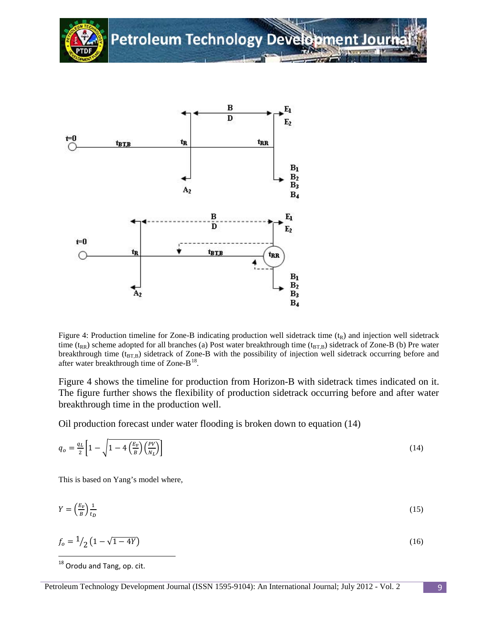



Figure 4: Production timeline for Zone-B indicating production well sidetrack time  $(t_R)$  and injection well sidetrack time ( $t_{RR}$ ) scheme adopted for all branches (a) Post water breakthrough time ( $t_{BTB}$ ) sidetrack of Zone-B (b) Pre water breakthrough time  $(t_{BT,B})$  sidetrack of Zone-B with the possibility of injection well sidetrack occurring before and after water breakthrough time of Zone- $B^{18}$  $B^{18}$  $B^{18}$ .

Figure 4 shows the timeline for production from Horizon-B with sidetrack times indicated on it. The figure further shows the flexibility of production sidetrack occurring before and after water breakthrough time in the production well.

Oil production forecast under water flooding is broken down to equation (14)

$$
q_o = \frac{q_L}{2} \left[ 1 - \sqrt{1 - 4 \left( \frac{E_v}{B} \right) \left( \frac{PV}{N_L} \right)} \right] \tag{14}
$$

This is based on Yang's model where,

$$
Y = \left(\frac{E_v}{B}\right)\frac{1}{t_D} \tag{15}
$$

$$
f_o = \frac{1}{2} \left( 1 - \sqrt{1 - 4Y} \right) \tag{16}
$$

<span id="page-8-0"></span><sup>&</sup>lt;sup>18</sup> Orodu and Tang, op. cit.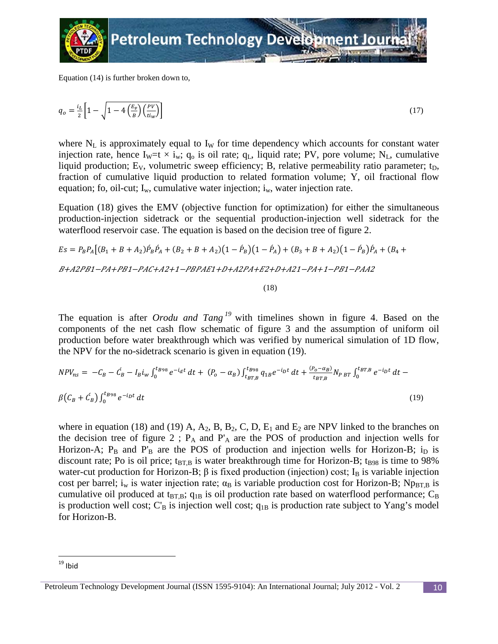

Equation (14) is further broken down to,

$$
q_o = \frac{i_L}{2} \left[ 1 - \sqrt{1 - 4 \left( \frac{E_v}{B} \right) \left( \frac{PV}{t_{iw}} \right)} \right] \tag{17}
$$

where  $N_L$  is approximately equal to  $I_W$  for time dependency which accounts for constant water injection rate, hence I<sub>W</sub>=t  $\times$  i<sub>w</sub>; q<sub>o</sub> is oil rate; q<sub>L</sub>, liquid rate; PV, pore volume; N<sub>L</sub>, cumulative liquid production;  $E_V$ , volumetric sweep efficiency; B, relative permeability ratio parameter;  $t_D$ , fraction of cumulative liquid production to related formation volume; Y, oil fractional flow equation; fo, oil-cut;  $I_w$ , cumulative water injection;  $i_w$ , water injection rate.

Equation (18) gives the EMV (objective function for optimization) for either the simultaneous production-injection sidetrack or the sequential production-injection well sidetrack for the waterflood reservoir case. The equation is based on the decision tree of figure 2.

$$
Es = P_B P_A [(B_1 + B + A_2) \hat{P}_B \hat{P}_A + (B_2 + B + A_2) (1 - \hat{P}_B) (1 - \hat{P}_A) + (B_3 + B + A_2) (1 - \hat{P}_B) \hat{P}_A + (B_4 + B + A_2) P_A P_A P_B
$$
  
 
$$
B + A2PB1 - PA + PB1 - PAC + A2 + 1 - PBPAE1 + D + A2PA + E2 + D + A21 - PA + 1 - PB1 - PAA2
$$

(18)

The equation is after *Orodu and Tang [19](#page-9-0)* with timelines shown in figure 4. Based on the components of the net cash flow schematic of figure 3 and the assumption of uniform oil production before water breakthrough which was verified by numerical simulation of 1D flow, the NPV for the no-sidetrack scenario is given in equation (19).

$$
NPV_{ns} = -C_B - C_B - I_B i_w \int_0^{t_{B98}} e^{-i_{d}t} dt + (P_o - \alpha_B) \int_{t_{BT,B}}^{t_{B98}} q_{1B} e^{-i_{D}t} dt + \frac{(P_o - \alpha_B)}{t_{BT,B}} N_{PBT} \int_0^{t_{BT,B}} e^{-i_{D}t} dt - \beta (C_B + C_B) \int_0^{t_{B98}} e^{-i_{D}t} dt
$$
\n(19)

where in equation (18) and (19) A,  $A_2$ , B, B<sub>2</sub>, C, D, E<sub>1</sub> and E<sub>2</sub> are NPV linked to the branches on the decision tree of figure 2;  $P_A$  and  $P'_A$  are the POS of production and injection wells for Horizon-A;  $P_B$  and  $P'_B$  are the POS of production and injection wells for Horizon-B; i<sub>D</sub> is discount rate; Po is oil price;  $t_{\text{BT,B}}$  is water breakthrough time for Horizon-B;  $t_{B98}$  is time to 98% water-cut production for Horizon-B;  $\beta$  is fixed production (injection) cost; I<sub>B</sub> is variable injection cost per barrel; i<sub>w</sub> is water injection rate;  $\alpha_B$  is variable production cost for Horizon-B; Np<sub>BT,B</sub> is cumulative oil produced at t<sub>BT,B</sub>;  $q_{1B}$  is oil production rate based on waterflood performance;  $C_B$ is production well cost;  $C_B$  is injection well cost;  $q_{1B}$  is production rate subject to Yang's model for Horizon-B.

 $19$  Ibid

<span id="page-9-0"></span>Petroleum Technology Development Journal (ISSN 1595-9104): An International Journal; July 2012 - Vol. 2 10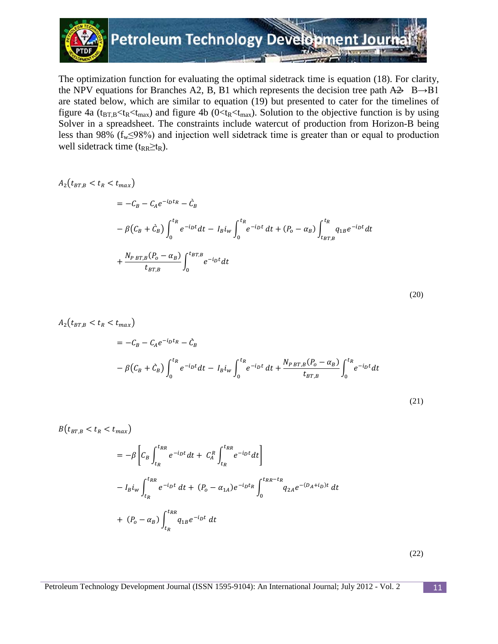

The optimization function for evaluating the optimal sidetrack time is equation (18). For clarity, the NPV equations for Branches A2, B, B1 which represents the decision tree path  $A\rightarrow B\rightarrow B1$ are stated below, which are similar to equation (19) but presented to cater for the timelines of figure 4a ( $t_{BT,B}$ < $t_{R}$ < $t_{max}$ ) and figure 4b ( $0$ < $t_{R}$ < $t_{max}$ ). Solution to the objective function is by using Solver in a spreadsheet. The constraints include watercut of production from Horizon-B being less than 98% ( $f_w \le 98\%$ ) and injection well sidetrack time is greater than or equal to production well sidetrack time ( $t_{RR} \geq t_R$ ).

$$
A_{2}(t_{BT,B} < t_{R} < t_{max})
$$
\n
$$
= -C_{B} - C_{A}e^{-i_{D}t_{R}} - \tilde{C}_{B}
$$
\n
$$
- \beta(C_{B} + \tilde{C}_{B}) \int_{0}^{t_{R}} e^{-i_{D}t} dt - I_{B}i_{w} \int_{0}^{t_{R}} e^{-i_{D}t} dt + (P_{o} - \alpha_{B}) \int_{t_{BT,B}}^{t_{R}} q_{1B}e^{-i_{D}t} dt
$$
\n
$$
+ \frac{N_{P BT,B}(P_{o} - \alpha_{B})}{t_{BT,B}} \int_{0}^{t_{BT,B}} e^{-i_{D}t} dt
$$

$$
A_{2}(t_{BT,B} < t_{R} < t_{max})
$$
\n
$$
= -C_{B} - C_{A}e^{-i_{D}t_{R}} - \tilde{C}_{B}
$$
\n
$$
- \beta(C_{B} + \tilde{C}_{B}) \int_{0}^{t_{R}} e^{-i_{D}t} dt - I_{B}i_{w} \int_{0}^{t_{R}} e^{-i_{D}t} dt + \frac{N_{PBT,B}(P_{o} - \alpha_{B})}{t_{BT,B}} \int_{0}^{t_{R}} e^{-i_{D}t} dt
$$
\n
$$
(21)
$$

$$
B(t_{BT,B} < t_R < t_{max})
$$
\n
$$
= -\beta \left[ C_B \int_{t_R}^{t_{RR}} e^{-ipt} dt + C_A^R \int_{t_R}^{t_{RR}} e^{-ipt} dt \right]
$$
\n
$$
- I_B i_w \int_{t_R}^{t_{RR}} e^{-ipt} dt + (P_o - \alpha_{1A}) e^{-ipt_R} \int_0^{t_{RR} - t_R} q_{2A} e^{-(D_A + i_D)t} dt
$$
\n
$$
+ (P_o - \alpha_B) \int_{t_R}^{t_{RR}} q_{1B} e^{-ipt} dt
$$

(22)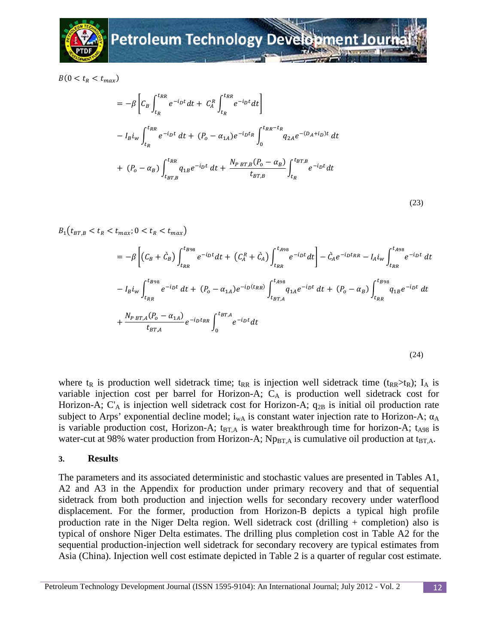

 $B(0 < t_R < t_{max})$ 

$$
= -\beta \left[ C_B \int_{t_R}^{t_{RR}} e^{-ipt} dt + C_A^R \int_{t_R}^{t_{RR}} e^{-ipt} dt \right]
$$
  

$$
- I_B i_w \int_{t_R}^{t_{RR}} e^{-ipt} dt + (P_o - \alpha_{1A}) e^{-ipt_R} \int_0^{t_{RR} - t_R} q_{2A} e^{-(D_A + i_D)t} dt
$$
  

$$
+ (P_o - \alpha_B) \int_{t_{BT,B}}^{t_{RR}} q_{1B} e^{-ipt} dt + \frac{N_{PBT,B} (P_o - \alpha_B)}{t_{BT,B}} \int_{t_R}^{t_{BT,B}} e^{-ipt} dt
$$

$$
(23)
$$

 $B_1(t_{BT,B} < t_R < t_{max}; 0 < t_R < t_{max})$ 

$$
= -\beta \left[ (C_B + \dot{C}_B) \int_{t_{RR}}^{t_{B98}} e^{-i_D t} dt + (C_A^R + \dot{C}_A) \int_{t_{RR}}^{t_{A98}} e^{-i_D t} dt \right] - \dot{C}_A e^{-i_D t_{RR}} - I_A i_w \int_{t_{RR}}^{t_{A98}} e^{-i_D t} dt
$$
  
\n
$$
- I_B i_w \int_{t_{RR}}^{t_{B98}} e^{-i_D t} dt + (P_o - \alpha_{1A}) e^{-i_D (t_{RR})} \int_{t_{BT,A}}^{t_{A98}} q_{1A} e^{-i_D t} dt + (P_o - \alpha_B) \int_{t_{RR}}^{t_{B98}} q_{1B} e^{-i_D t} dt
$$
  
\n
$$
+ \frac{N_{P BT,A} (P_o - \alpha_{1A})}{t_{BT,A}} e^{-i_D t_{RR}} \int_0^{t_{BT,A}} e^{-i_D t} dt
$$
  
\n(24)

where  $t_R$  is production well sidetrack time;  $t_{RR}$  is injection well sidetrack time ( $t_{RR} > t_R$ ); I<sub>A</sub> is variable injection cost per barrel for Horizon-A; CA is production well sidetrack cost for Horizon-A;  $C_A$  is injection well sidetrack cost for Horizon-A;  $q_{2B}$  is initial oil production rate subject to Arps' exponential decline model;  $i_{wA}$  is constant water injection rate to Horizon-A;  $\alpha_A$ is variable production cost, Horizon-A;  $t_{BT,A}$  is water breakthrough time for horizon-A;  $t_{A98}$  is water-cut at 98% water production from Horizon-A;  $Np_{BTA}$  is cumulative oil production at t<sub>BT.A</sub>.

#### **3. Results**

The parameters and its associated deterministic and stochastic values are presented in Tables A1, A2 and A3 in the Appendix for production under primary recovery and that of sequential sidetrack from both production and injection wells for secondary recovery under waterflood displacement. For the former, production from Horizon-B depicts a typical high profile production rate in the Niger Delta region. Well sidetrack cost (drilling + completion) also is typical of onshore Niger Delta estimates. The drilling plus completion cost in Table A2 for the sequential production-injection well sidetrack for secondary recovery are typical estimates from Asia (China). Injection well cost estimate depicted in Table 2 is a quarter of regular cost estimate.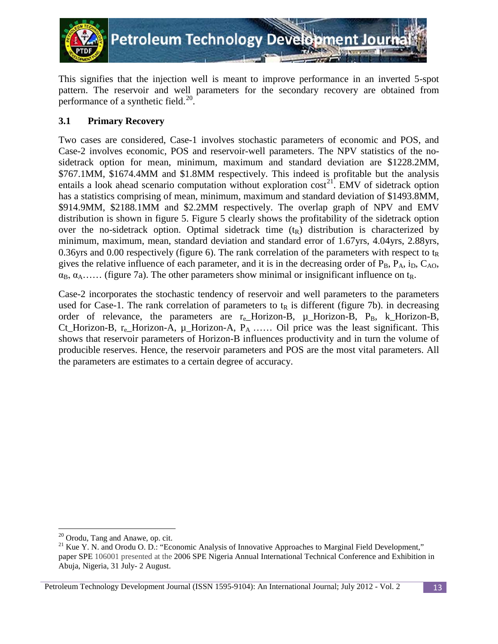

This signifies that the injection well is meant to improve performance in an inverted 5-spot pattern. The reservoir and well parameters for the secondary recovery are obtained from performance of a synthetic field.<sup>[20](#page-12-0)</sup>.

# **3.1 Primary Recovery**

Two cases are considered, Case-1 involves stochastic parameters of economic and POS, and Case-2 involves economic, POS and reservoir-well parameters. The NPV statistics of the nosidetrack option for mean, minimum, maximum and standard deviation are \$1228.2MM, \$767.1MM, \$1674.4MM and \$1.8MM respectively. This indeed is profitable but the analysis entails a look ahead scenario computation without exploration  $cost^{21}$  $cost^{21}$  $cost^{21}$ . EMV of sidetrack option has a statistics comprising of mean, minimum, maximum and standard deviation of \$1493.8MM, \$914.9MM, \$2188.1MM and \$2.2MM respectively. The overlap graph of NPV and EMV distribution is shown in figure 5. Figure 5 clearly shows the profitability of the sidetrack option over the no-sidetrack option. Optimal sidetrack time  $(t_R)$  distribution is characterized by minimum, maximum, mean, standard deviation and standard error of 1.67yrs, 4.04yrs, 2.88yrs, 0.36yrs and 0.00 respectively (figure 6). The rank correlation of the parameters with respect to  $t<sub>R</sub>$ gives the relative influence of each parameter, and it is in the decreasing order of  $P_B$ ,  $P_A$ ,  $i_D$ ,  $C_{AO}$ ,  $\alpha_B$ ,  $\alpha_A$ ...... (figure 7a). The other parameters show minimal or insignificant influence on t<sub>R</sub>.

Case-2 incorporates the stochastic tendency of reservoir and well parameters to the parameters used for Case-1. The rank correlation of parameters to  $t<sub>R</sub>$  is different (figure 7b). in decreasing order of relevance, the parameters are  $r_e$ -Horizon-B,  $\mu$ -Horizon-B,  $P_B$ , k-Horizon-B, Ct\_Horizon-B,  $r_e$ \_Horizon-A,  $\mu$ \_Horizon-A,  $P_A$  …… Oil price was the least significant. This shows that reservoir parameters of Horizon-B influences productivity and in turn the volume of producible reserves. Hence, the reservoir parameters and POS are the most vital parameters. All the parameters are estimates to a certain degree of accuracy.

 $20$  Orodu, Tang and Anawe, op. cit.

<span id="page-12-1"></span><span id="page-12-0"></span><sup>&</sup>lt;sup>21</sup> Kue Y. N. and Orodu O. D.: "Economic Analysis of Innovative Approaches to Marginal Field Development," paper SPE 106001 presented at the 2006 SPE Nigeria Annual International Technical Conference and Exhibition in Abuja, Nigeria, 31 July- 2 August.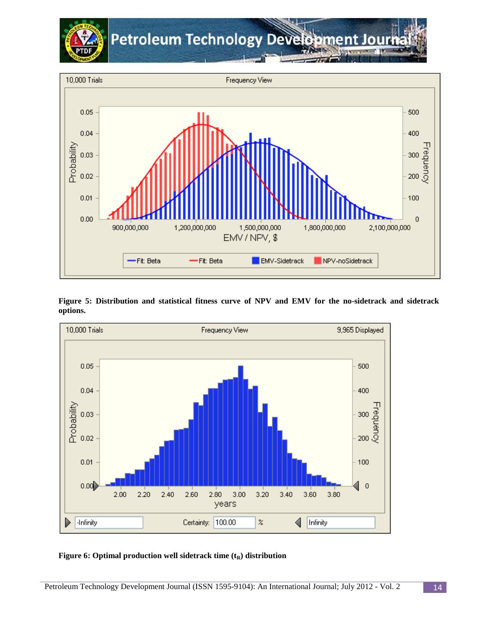



1,500,000,000

EMV-Sidetrack

EMV / NPV, \$

1,800,000,000

NPV-noSidetrack



#### **Figure 6: Optimal production well sidetrack time**  $(t_R)$  **distribution**

 $0.00$ 

900,000,000

-Fit: Beta

1,200,000,000

-Fit: Beta

 $\boldsymbol{0}$ 

2,100,000,000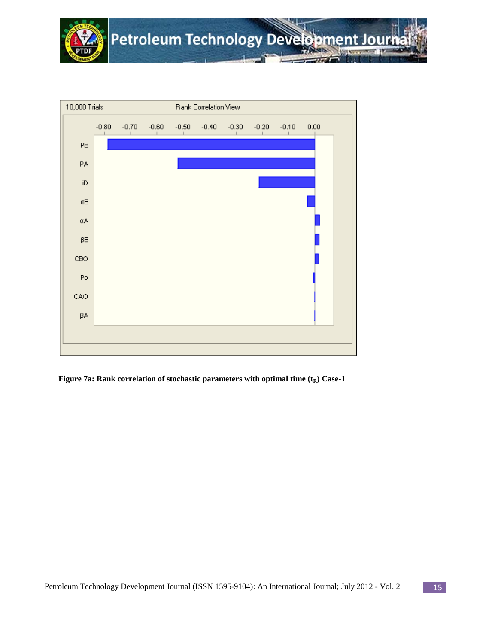



**Figure 7a: Rank correlation of stochastic parameters with optimal time**  $(t_R)$  **Case-1**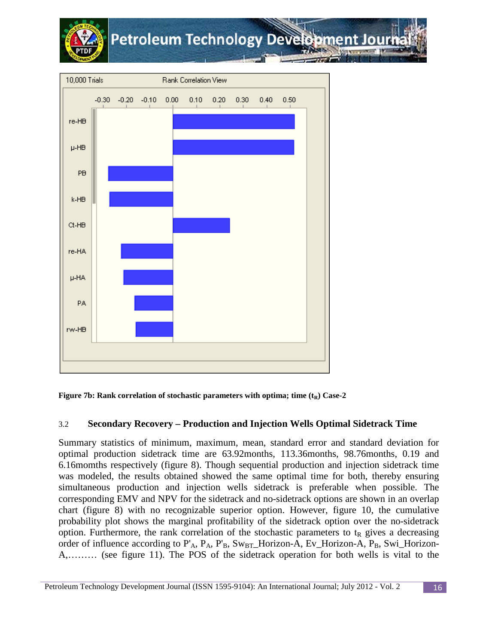



**Figure 7b: Rank correlation of stochastic parameters with optima; time**  $(t_R)$  **Case-2** 

# 3.2 **Secondary Recovery – Production and Injection Wells Optimal Sidetrack Time**

Summary statistics of minimum, maximum, mean, standard error and standard deviation for optimal production sidetrack time are 63.92months, 113.36months, 98.76months, 0.19 and 6.16momths respectively (figure 8). Though sequential production and injection sidetrack time was modeled, the results obtained showed the same optimal time for both, thereby ensuring simultaneous production and injection wells sidetrack is preferable when possible. The corresponding EMV and NPV for the sidetrack and no-sidetrack options are shown in an overlap chart (figure 8) with no recognizable superior option. However, figure 10, the cumulative probability plot shows the marginal profitability of the sidetrack option over the no-sidetrack option. Furthermore, the rank correlation of the stochastic parameters to  $t<sub>R</sub>$  gives a decreasing order of influence according to  $P_A$ ,  $P_A$ ,  $P_B$ ,  $Sw_{BT}$  Horizon-A, Ev\_Horizon-A,  $P_B$ , Swi\_Horizon-A,……… (see figure 11). The POS of the sidetrack operation for both wells is vital to the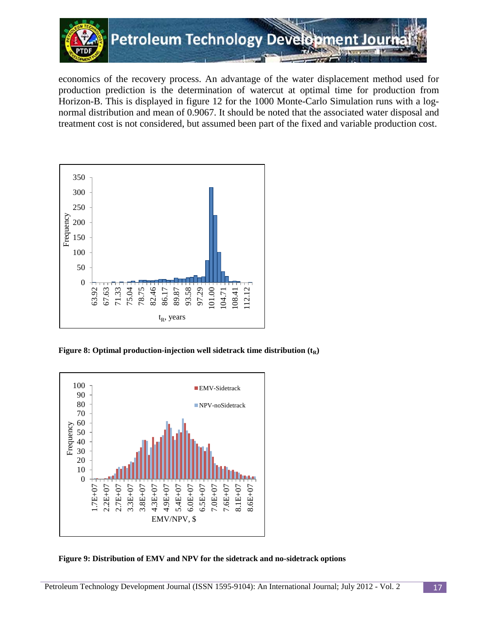

economics of the recovery process. An advantage of the water displacement method used for production prediction is the determination of watercut at optimal time for production from Horizon-B. This is displayed in figure 12 for the 1000 Monte-Carlo Simulation runs with a lognormal distribution and mean of 0.9067. It should be noted that the associated water disposal and treatment cost is not considered, but assumed been part of the fixed and variable production cost.



**Figure 8: Optimal production-injection well sidetrack time distribution**  $(t_R)$ 



**Figure 9: Distribution of EMV and NPV for the sidetrack and no-sidetrack options**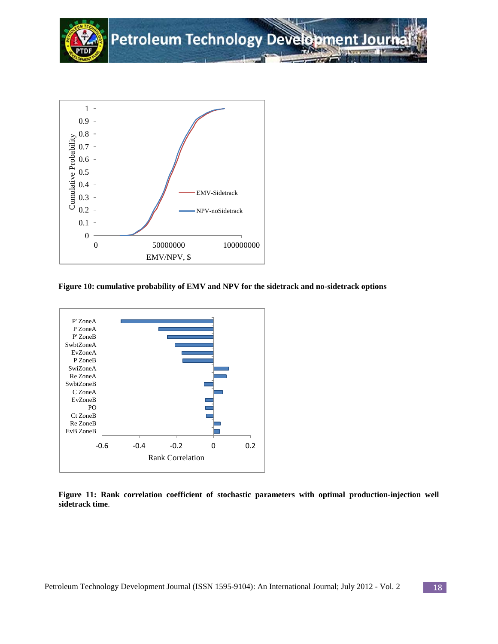

**Figure 10: cumulative probability of EMV and NPV for the sidetrack and no-sidetrack options**



**Figure 11: Rank correlation coefficient of stochastic parameters with optimal production-injection well sidetrack time**.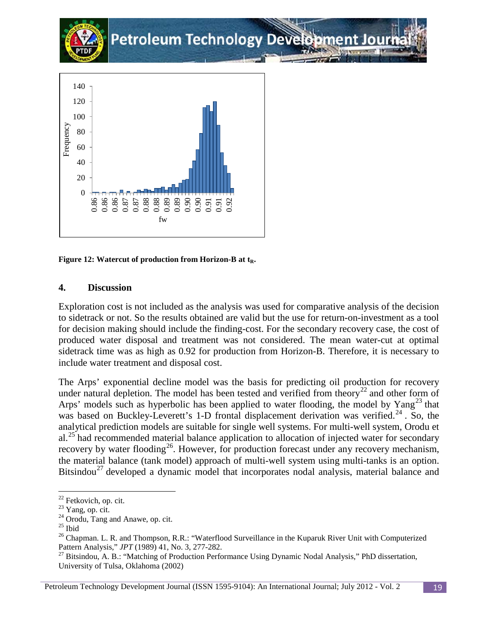

Figure 12: Watercut of production from Horizon-B at t<sub>R</sub>.

## **4. Discussion**

Exploration cost is not included as the analysis was used for comparative analysis of the decision to sidetrack or not. So the results obtained are valid but the use for return-on-investment as a tool for decision making should include the finding-cost. For the secondary recovery case, the cost of produced water disposal and treatment was not considered. The mean water-cut at optimal sidetrack time was as high as 0.92 for production from Horizon-B. Therefore, it is necessary to include water treatment and disposal cost.

The Arps' exponential decline model was the basis for predicting oil production for recovery under natural depletion. The model has been tested and verified from theory<sup>[22](#page-18-0)</sup> and other form of Arps' models such as hyperbolic has been applied to water flooding, the model by  $Yang^{23}$  $Yang^{23}$  $Yang^{23}$  that was based on Buckley-Leverett's 1-D frontal displacement derivation was verified.<sup>[24](#page-18-2)</sup> . So, the analytical prediction models are suitable for single well systems. For multi-well system, Orodu et al.<sup>[25](#page-18-3)</sup> had recommended material balance application to allocation of injected water for secondary recovery by water flooding<sup>26</sup>. However, for production forecast under any recovery mechanism, the material balance (tank model) approach of multi-well system using multi-tanks is an option. Bitsindou<sup>[27](#page-18-5)</sup> developed a dynamic model that incorporates nodal analysis, material balance and

l

<span id="page-18-0"></span> $^{22}$  Fetkovich, op. cit.<br> $^{23}$  Yang, op. cit.

<span id="page-18-4"></span>

<span id="page-18-3"></span><span id="page-18-2"></span><span id="page-18-1"></span><sup>&</sup>lt;sup>24</sup> Orodu, Tang and Anawe, op. cit.<br>
<sup>25</sup> Ibid<br>
<sup>26</sup> Chapman. L. R. and Thompson, R.R.: "Waterflood Surveillance in the Kuparuk River Unit with Computerized Pattern Analysis," *JPT* (1989) 41, No. 3, 277-282.<br><sup>27</sup> Bitsindou, A. B.: "Matching of Production Performance Using Dynamic Nodal Analysis," PhD dissertation,

University of Tulsa, Oklahoma (2002)

<span id="page-18-5"></span>Petroleum Technology Development Journal (ISSN 1595-9104): An International Journal; July 2012 - Vol. 2 19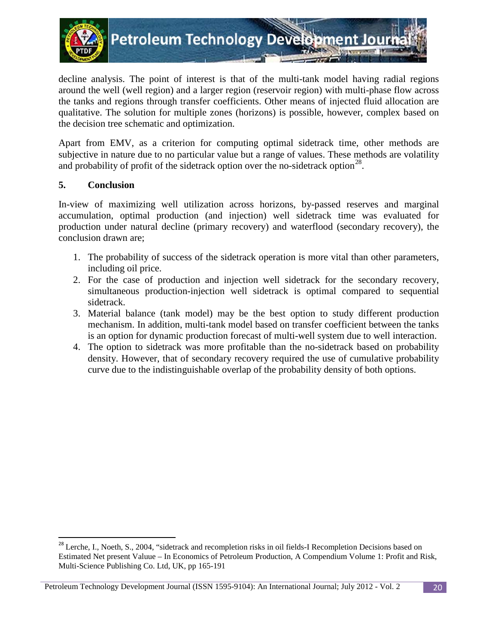

decline analysis. The point of interest is that of the multi-tank model having radial regions around the well (well region) and a larger region (reservoir region) with multi-phase flow across the tanks and regions through transfer coefficients. Other means of injected fluid allocation are qualitative. The solution for multiple zones (horizons) is possible, however, complex based on the decision tree schematic and optimization.

Apart from EMV, as a criterion for computing optimal sidetrack time, other methods are subjective in nature due to no particular value but a range of values. These methods are volatility and probability of profit of the sidetrack option over the no-sidetrack option<sup>[28](#page-19-0)</sup>.

## **5. Conclusion**

In-view of maximizing well utilization across horizons, by-passed reserves and marginal accumulation, optimal production (and injection) well sidetrack time was evaluated for production under natural decline (primary recovery) and waterflood (secondary recovery), the conclusion drawn are;

- 1. The probability of success of the sidetrack operation is more vital than other parameters, including oil price.
- 2. For the case of production and injection well sidetrack for the secondary recovery, simultaneous production-injection well sidetrack is optimal compared to sequential sidetrack.
- 3. Material balance (tank model) may be the best option to study different production mechanism. In addition, multi-tank model based on transfer coefficient between the tanks is an option for dynamic production forecast of multi-well system due to well interaction.
- 4. The option to sidetrack was more profitable than the no-sidetrack based on probability density. However, that of secondary recovery required the use of cumulative probability curve due to the indistinguishable overlap of the probability density of both options.

<sup>&</sup>lt;sup>28</sup> Lerche, I., Noeth, S., 2004, "sidetrack and recompletion risks in oil fields-I Recompletion Decisions based on Estimated Net present Valuue – In Economics of Petroleum Production, A Compendium Volume 1: Profit and Risk, Multi-Science Publishing Co. Ltd, UK, pp 165-191

<span id="page-19-0"></span>Petroleum Technology Development Journal (ISSN 1595-9104): An International Journal; July 2012 - Vol. 2 20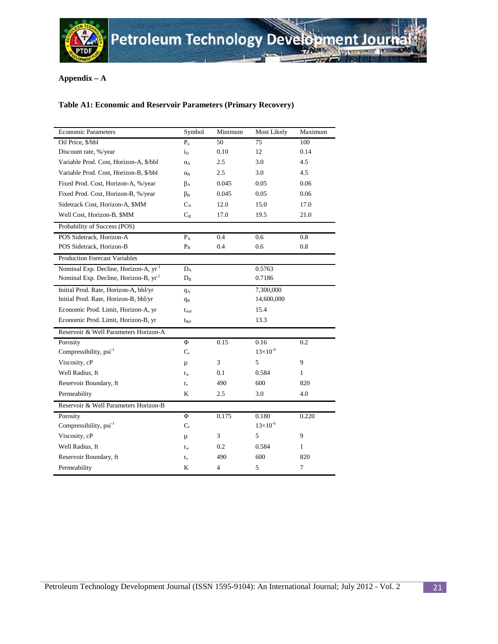

## **Appendix – A**

## **Table A1: Economic and Reservoir Parameters (Primary Recovery)**

| <b>Economic Parameters</b>                        | Symbol           | Minimum | Most Likely       | Maximum |
|---------------------------------------------------|------------------|---------|-------------------|---------|
| Oil Price, \$/bbl                                 | $P_{o}$          | 50      | 75                | 100     |
| Discount rate, %/year                             | $i_{\rm D}$      | 0.10    | 12                | 0.14    |
| Variable Prod. Cost, Horizon-A, \$/bbl            | $\alpha_A$       | 2.5     | 3.0               | 4.5     |
| Variable Prod. Cost, Horizon-B, \$/bbl            | $\alpha_{\rm B}$ | 2.5     | 3.0               | 4.5     |
| Fixed Prod. Cost, Horizon-A, %/year               | $\beta_{A}$      | 0.045   | 0.05              | 0.06    |
| Fixed Prod. Cost, Horizon-B, %/year               | $\beta_{\rm B}$  | 0.045   | 0.05              | 0.06    |
| Sidetrack Cost, Horizon-A, \$MM                   | $C_A$            | 12.0    | 15.0              | 17.0    |
| Well Cost, Horizon-B, \$MM                        | $C_{B}$          | 17.0    | 19.5              | 21.0    |
| Probability of Success (POS)                      |                  |         |                   |         |
| POS Sidetrack, Horizon-A                          | $P_A$            | 0.4     | 0.6               | 0.8     |
| POS Sidetrack, Horizon-B                          | $P_B$            | 0.4     | 0.6               | 0.8     |
| <b>Production Forecast Variables</b>              |                  |         |                   |         |
| Nominal Exp. Decline, Horizon-A, yr <sup>-1</sup> | $D_A$            |         | 0.5763            |         |
| Nominal Exp. Decline, Horizon-B, yr <sup>-1</sup> | $D_B$            |         | 0.7186            |         |
| Initial Prod. Rate, Horizon-A, bbl/yr             | $q_A$            |         | 7,300,000         |         |
| Initial Prod. Rate, Horizon-B, bbl/yr             | $q_B$            |         | 14,600,000        |         |
| Economic Prod. Limit, Horizon-A, yr               | $t_{\rm Ael}$    |         | 15.4              |         |
| Economic Prod. Limit, Horizon-B, yr               | $t_{Bel}$        |         | 13.3              |         |
| Reservoir & Well Parameters Horizon-A             |                  |         |                   |         |
| Porosity                                          | Φ                | 0.15    | 0.16              | 0.2     |
| Compressibility, psi <sup>-1</sup>                | $C_{t}$          |         | $13\times10^{-6}$ |         |
| Viscosity, cP                                     | μ                | 3       | 5                 | 9       |
| Well Radius, ft                                   | $r_{w}$          | 0.1     | 0.584             | 1       |
| Reservoir Boundary, ft                            | $r_{\rm e}$      | 490     | 600               | 820     |
| Permeability                                      | K                | 2.5     | 3.0               | 4.0     |
| Reservoir & Well Parameters Horizon-B             |                  |         |                   |         |
| Porosity                                          | Φ                | 0.175   | 0.180             | 0.220   |
| Compressibility, psi <sup>-1</sup>                | $C_{t}$          |         | $13\times10^{-6}$ |         |
| Viscosity, cP                                     | μ                | 3       | 5                 | 9       |
| Well Radius, ft                                   | $r_{w}$          | 0.2     | 0.584             | 1       |
| Reservoir Boundary, ft                            | $r_{e}$          | 490     | 600               | 820     |
| Permeability                                      | K                | 4       | 5                 | 7       |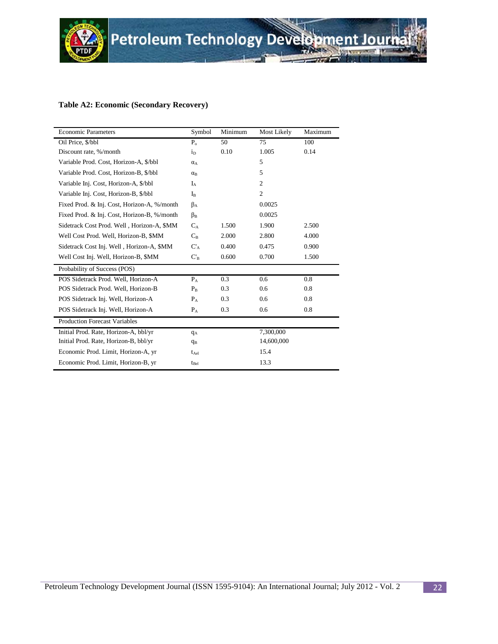

### **Table A2: Economic (Secondary Recovery)**

| <b>Economic Parameters</b>                  | Symbol        | Minimum | Most Likely    | Maximum |
|---------------------------------------------|---------------|---------|----------------|---------|
| Oil Price, \$/bbl                           | $P_{o}$       | 50      | 75             | 100     |
| Discount rate, %/month                      | $i_{\rm D}$   | 0.10    | 1.005          | 0.14    |
| Variable Prod. Cost, Horizon-A, \$/bbl      | $\alpha_A$    |         | 5              |         |
| Variable Prod. Cost, Horizon-B, \$/bbl      | $\alpha_B$    |         | 5              |         |
| Variable Inj. Cost, Horizon-A, \$/bbl       | $I_A$         |         | $\mathfrak{2}$ |         |
| Variable Inj. Cost, Horizon-B, \$/bbl       | $I_{B}$       |         | $\overline{c}$ |         |
| Fixed Prod. & Inj. Cost, Horizon-A, %/month | $\beta_{A}$   |         | 0.0025         |         |
| Fixed Prod. & Inj. Cost, Horizon-B, %/month | $\beta_B$     |         | 0.0025         |         |
| Sidetrack Cost Prod. Well, Horizon-A, \$MM  | $C_A$         | 1.500   | 1.900          | 2.500   |
| Well Cost Prod. Well, Horizon-B, \$MM       | $C_{B}$       | 2.000   | 2.800          | 4.000   |
| Sidetrack Cost Inj. Well, Horizon-A, \$MM   | $C_A$         | 0.400   | 0.475          | 0.900   |
| Well Cost Inj. Well, Horizon-B, \$MM        | $C_B$         | 0.600   | 0.700          | 1.500   |
| Probability of Success (POS)                |               |         |                |         |
| POS Sidetrack Prod. Well, Horizon-A         | $P_A$         | 0.3     | 0.6            | 0.8     |
| POS Sidetrack Prod. Well, Horizon-B         | $P_{B}$       | 0.3     | 0.6            | 0.8     |
| POS Sidetrack Inj. Well, Horizon-A          | $P_{A}$       | 0.3     | 0.6            | 0.8     |
| POS Sidetrack Inj. Well, Horizon-A          | $P_{A}$       | 0.3     | 0.6            | 0.8     |
| <b>Production Forecast Variables</b>        |               |         |                |         |
| Initial Prod. Rate, Horizon-A, bbl/yr       | $q_A$         |         | 7,300,000      |         |
| Initial Prod. Rate, Horizon-B, bbl/yr       | $q_B$         |         | 14,600,000     |         |
| Economic Prod. Limit, Horizon-A, yr         | $t_{\rm Ael}$ |         | 15.4           |         |
| Economic Prod. Limit, Horizon-B, yr         | $t_{Bel}$     |         | 13.3           |         |